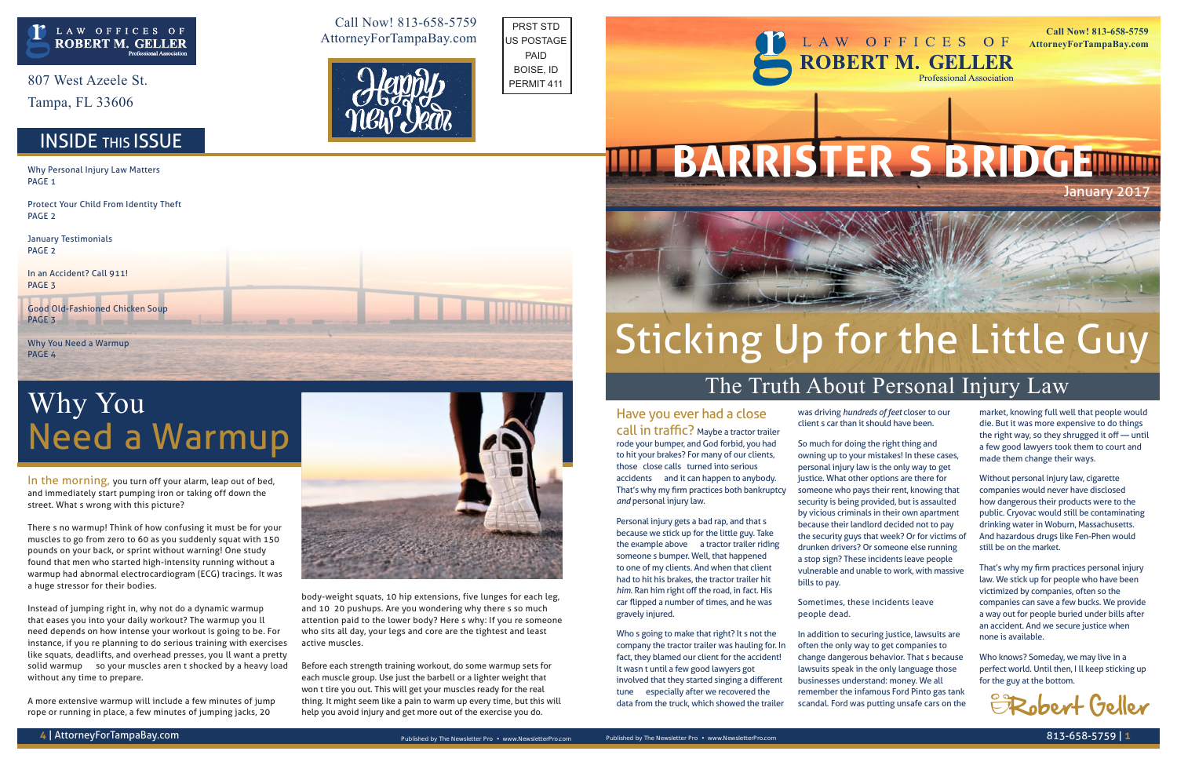In the morning, you turn off your alarm, leap out of bed, and immediately start pumping iron or taking off down the street. What's wrong with this picture?

There's no warmup! Think of how confusing it must be for your muscles to go from zero to 60 as you suddenly squat with 150 pounds on your back, or sprint without warning! One study found that men who started high-intensity running without a warmup had abnormal electrocardiogram (ECG) tracings. It was a huge stressor for their bodies.

Instead of jumping right in, why not do a dynamic warmup that eases you into your daily workout? The warmup you'll need depends on how intense your workout is going to be. For instance, if you're planning to do serious training with exercises like squats, deadlifts, and overhead presses, you'll want a pretty solid warmup — so your muscles aren't shocked by a heavy load without any time to prepare.

A more extensive warmup will include a few minutes of jump rope or running in place, a few minutes of jumping jacks, 20

body-weight squats, 10 hip extensions, five lunges for each leg, and 10–20 pushups. Are you wondering why there's so much attention paid to the lower body? Here's why: If you're someone who sits all day, your legs and core are the tightest and least active muscles.

Before each strength training workout, do some warmup sets for each muscle group. Use just the barbell or a lighter weight that won't tire you out. This will get your muscles ready for the real thing. It might seem like a pain to warm up every time, but this will help you avoid injury and get more out of the exercise you do.

807 West Azeele St.

Tampa, FL 33606

### **INSIDE THIS ISSUE**

## Why You Need a Warmup

#### Have you ever had a close

call in traffic? Maybe a tractor trailer rode your bumper, and God forbid, you had to hit your brakes? For many of our clients, those "close calls" turned into serious accidents — and it can happen to anybody. That's why my firm practices both bankruptcy *and* personal injury law.

Personal injury gets a bad rap, and that's because we stick up for the little guy. Take the example above — a tractor trailer riding someone's bumper. Well, that happened to one of my clients. And when that client had to hit his brakes, the tractor trailer hit *him*. Ran him right off the road, in fact. His car flipped a number of times, and he was gravely injured.

Why Personal Injury Law Matters PAGE<sub>1</sub>

Good Old-Fashioned Chicken Soup PAGE<sub>3</sub>

Who's going to make that right? It's not the company the tractor trailer was hauling for. In fact, they blamed our client for the accident! It wasn't until a few good lawyers got involved that they started singing a different tune — especially after we recovered the data from the truck, which showed the trailer

was driving *hundreds of feet* closer to our client's car than it should have been.

So much for doing the right thing and owning up to your mistakes! In these cases, personal injury law is the only way to get justice. What other options are there for someone who pays their rent, knowing that security is being provided, but is assaulted by vicious criminals in their own apartment because their landlord decided not to pay the security guys that week? Or for victims of drunken drivers? Or someone else running a stop sign? These incidents leave people vulnerable and unable to work, with massive

bills to pay.

Sometimes, these incidents leave people dead.

In addition to securing justice, lawsuits are often the only way to get companies to change dangerous behavior. That's because lawsuits speak in the only language those businesses understand: money. We all remember the infamous Ford Pinto gas tank scandal. Ford was putting unsafe cars on the

market, knowing full well that people would die. But it was more expensive to do things the right way, so they shrugged it off — until a few good lawyers took them to court and made them change their ways.

Without personal injury law, cigarette companies would never have disclosed how dangerous their products were to the public. Cryovac would still be contaminating drinking water in Woburn, Massachusetts. And hazardous drugs like Fen-Phen would still be on the market.

That's why my firm practices personal injury law. We stick up for people who have been victimized by companies, often so the companies can save a few bucks. We provide a way out for people buried under bills after an accident. And we secure justice when none is available.

Who knows? Someday, we may live in a perfect world. Until then, I'll keep sticking up for the guy at the bottom.

Protect Your Child From Identity Theft PAGE 2

January Testimonials PAGE 2

In an Accident? Call 911! PAGE 3

Why You Need a Warmup PAGE 4

Call Now! 813-658-5759 AttorneyForTampaBay.com

**Call Now! 813-658-5759 AttorneyForTampaBay.com**

January 2017



## Sticking Up for the Little Guy The Truth About Personal Injury Law





PRST STD US POSTAGE PAID BOISE, ID PERMIT 411